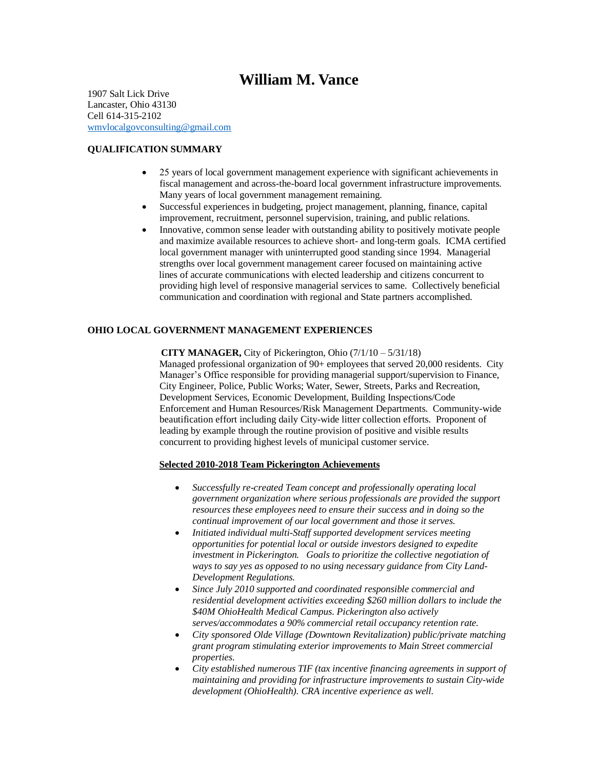# **William M. Vance**

1907 Salt Lick Drive Lancaster, Ohio 43130 Cell 614-315-2102 [wmvlocalgovconsulting@gmail.com](mailto:wmvlocalgovconsulting@gmail.com)

# **QUALIFICATION SUMMARY**

- 25 years of local government management experience with significant achievements in fiscal management and across-the-board local government infrastructure improvements. Many years of local government management remaining.
- Successful experiences in budgeting, project management, planning, finance, capital improvement, recruitment, personnel supervision, training, and public relations.
- Innovative, common sense leader with outstanding ability to positively motivate people and maximize available resources to achieve short- and long-term goals. ICMA certified local government manager with uninterrupted good standing since 1994. Managerial strengths over local government management career focused on maintaining active lines of accurate communications with elected leadership and citizens concurrent to providing high level of responsive managerial services to same. Collectively beneficial communication and coordination with regional and State partners accomplished.

# **OHIO LOCAL GOVERNMENT MANAGEMENT EXPERIENCES**

 **CITY MANAGER,** City of Pickerington, Ohio (7/1/10 – 5/31/18) Managed professional organization of 90+ employees that served 20,000 residents. City Manager's Office responsible for providing managerial support/supervision to Finance, City Engineer, Police, Public Works; Water, Sewer, Streets, Parks and Recreation, Development Services, Economic Development, Building Inspections/Code Enforcement and Human Resources/Risk Management Departments. Community-wide beautification effort including daily City-wide litter collection efforts. Proponent of leading by example through the routine provision of positive and visible results concurrent to providing highest levels of municipal customer service.

#### **Selected 2010-2018 Team Pickerington Achievements**

- *Successfully re-created Team concept and professionally operating local government organization where serious professionals are provided the support resources these employees need to ensure their success and in doing so the continual improvement of our local government and those it serves.*
- *Initiated individual multi-Staff supported development services meeting opportunities for potential local or outside investors designed to expedite investment in Pickerington. Goals to prioritize the collective negotiation of ways to say yes as opposed to no using necessary guidance from City Land-Development Regulations.*
- *Since July 2010 supported and coordinated responsible commercial and residential development activities exceeding \$260 million dollars to include the \$40M OhioHealth Medical Campus. Pickerington also actively serves/accommodates a 90% commercial retail occupancy retention rate.*
- *City sponsored Olde Village (Downtown Revitalization) public/private matching grant program stimulating exterior improvements to Main Street commercial properties.*
- *City established numerous TIF (tax incentive financing agreements in support of maintaining and providing for infrastructure improvements to sustain City-wide development (OhioHealth). CRA incentive experience as well.*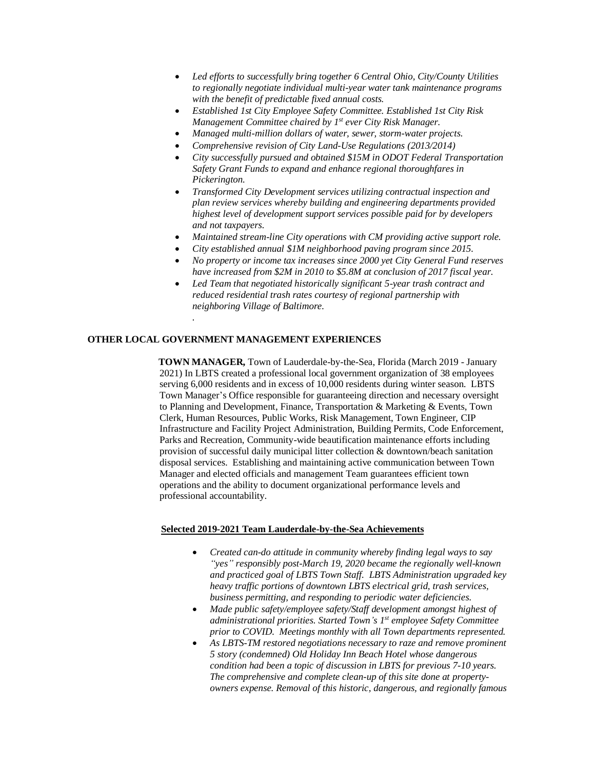- *Led efforts to successfully bring together 6 Central Ohio, City/County Utilities to regionally negotiate individual multi-year water tank maintenance programs with the benefit of predictable fixed annual costs.*
- *Established 1st City Employee Safety Committee. Established 1st City Risk Management Committee chaired by 1st ever City Risk Manager.*
- *Managed multi-million dollars of water, sewer, storm-water projects.*
- *Comprehensive revision of City Land-Use Regulations (2013/2014)*
- *City successfully pursued and obtained \$15M in ODOT Federal Transportation Safety Grant Funds to expand and enhance regional thoroughfares in Pickerington.*
- *Transformed City Development services utilizing contractual inspection and plan review services whereby building and engineering departments provided highest level of development support services possible paid for by developers and not taxpayers.*
- *Maintained stream-line City operations with CM providing active support role.*
- *City established annual \$1M neighborhood paving program since 2015.*
- *No property or income tax increases since 2000 yet City General Fund reserves have increased from \$2M in 2010 to \$5.8M at conclusion of 2017 fiscal year.*
- *Led Team that negotiated historically significant 5-year trash contract and reduced residential trash rates courtesy of regional partnership with neighboring Village of Baltimore.*

## **OTHER LOCAL GOVERNMENT MANAGEMENT EXPERIENCES**

*.* 

 **TOWN MANAGER,** Town of Lauderdale-by-the-Sea, Florida (March 2019 - January 2021) In LBTS created a professional local government organization of 38 employees serving 6,000 residents and in excess of 10,000 residents during winter season. LBTS Town Manager's Office responsible for guaranteeing direction and necessary oversight to Planning and Development, Finance, Transportation & Marketing & Events, Town Clerk, Human Resources, Public Works, Risk Management, Town Engineer, CIP Infrastructure and Facility Project Administration, Building Permits, Code Enforcement, Parks and Recreation, Community-wide beautification maintenance efforts including provision of successful daily municipal litter collection & downtown/beach sanitation disposal services. Establishing and maintaining active communication between Town Manager and elected officials and management Team guarantees efficient town operations and the ability to document organizational performance levels and professional accountability.

#### **Selected 2019-2021 Team Lauderdale-by-the-Sea Achievements**

- *Created can-do attitude in community whereby finding legal ways to say "yes" responsibly post-March 19, 2020 became the regionally well-known and practiced goal of LBTS Town Staff. LBTS Administration upgraded key heavy traffic portions of downtown LBTS electrical grid, trash services, business permitting, and responding to periodic water deficiencies.*
- *Made public safety/employee safety/Staff development amongst highest of administrational priorities. Started Town's 1st employee Safety Committee prior to COVID. Meetings monthly with all Town departments represented.*
- *As LBTS-TM restored negotiations necessary to raze and remove prominent 5 story (condemned) Old Holiday Inn Beach Hotel whose dangerous condition had been a topic of discussion in LBTS for previous 7-10 years. The comprehensive and complete clean-up of this site done at propertyowners expense. Removal of this historic, dangerous, and regionally famous*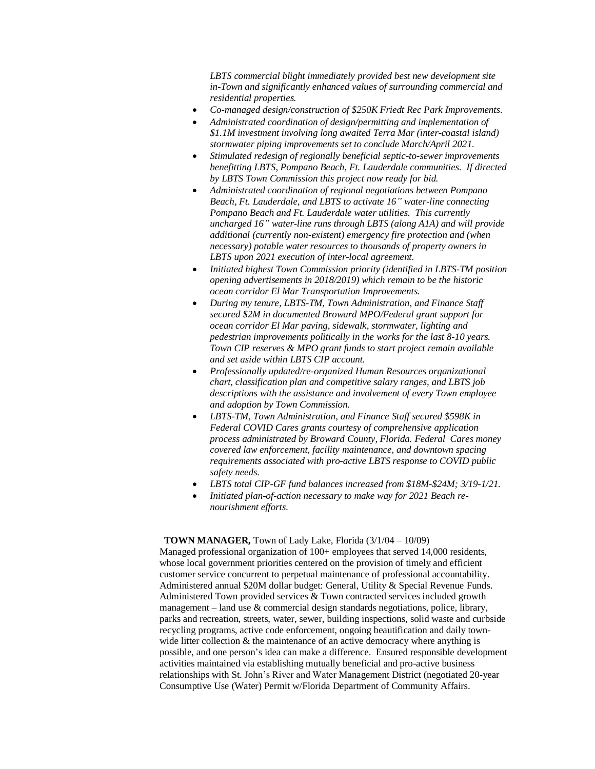*LBTS commercial blight immediately provided best new development site in-Town and significantly enhanced values of surrounding commercial and residential properties.*

- *Co-managed design/construction of \$250K Friedt Rec Park Improvements.*
- *Administrated coordination of design/permitting and implementation of \$1.1M investment involving long awaited Terra Mar (inter-coastal island) stormwater piping improvements set to conclude March/April 2021.*
- *Stimulated redesign of regionally beneficial septic-to-sewer improvements benefitting LBTS, Pompano Beach, Ft. Lauderdale communities. If directed by LBTS Town Commission this project now ready for bid.*
- *Administrated coordination of regional negotiations between Pompano Beach, Ft. Lauderdale, and LBTS to activate 16" water-line connecting Pompano Beach and Ft. Lauderdale water utilities. This currently uncharged 16" water-line runs through LBTS (along A1A) and will provide additional (currently non-existent) emergency fire protection and (when necessary) potable water resources to thousands of property owners in LBTS upon 2021 execution of inter-local agreement.*
- *Initiated highest Town Commission priority (identified in LBTS-TM position opening advertisements in 2018/2019) which remain to be the historic ocean corridor El Mar Transportation Improvements.*
- *During my tenure, LBTS-TM, Town Administration, and Finance Staff secured \$2M in documented Broward MPO/Federal grant support for ocean corridor El Mar paving, sidewalk, stormwater, lighting and pedestrian improvements politically in the works for the last 8-10 years. Town CIP reserves & MPO grant funds to start project remain available and set aside within LBTS CIP account.*
- *Professionally updated/re-organized Human Resources organizational chart, classification plan and competitive salary ranges, and LBTS job descriptions with the assistance and involvement of every Town employee and adoption by Town Commission.*
- *LBTS-TM, Town Administration, and Finance Staff secured \$598K in Federal COVID Cares grants courtesy of comprehensive application process administrated by Broward County, Florida. Federal Cares money covered law enforcement, facility maintenance, and downtown spacing requirements associated with pro-active LBTS response to COVID public safety needs.*
- *LBTS total CIP-GF fund balances increased from \$18M-\$24M; 3/19-1/21.*
- *Initiated plan-of-action necessary to make way for 2021 Beach renourishment efforts.*

#### **TOWN MANAGER,** Town of Lady Lake, Florida (3/1/04 – 10/09)

Managed professional organization of 100+ employees that served 14,000 residents, whose local government priorities centered on the provision of timely and efficient customer service concurrent to perpetual maintenance of professional accountability. Administered annual \$20M dollar budget: General, Utility & Special Revenue Funds. Administered Town provided services & Town contracted services included growth management – land use  $&$  commercial design standards negotiations, police, library, parks and recreation, streets, water, sewer, building inspections, solid waste and curbside recycling programs, active code enforcement, ongoing beautification and daily townwide litter collection  $\&$  the maintenance of an active democracy where anything is possible, and one person's idea can make a difference. Ensured responsible development activities maintained via establishing mutually beneficial and pro-active business relationships with St. John's River and Water Management District (negotiated 20-year Consumptive Use (Water) Permit w/Florida Department of Community Affairs.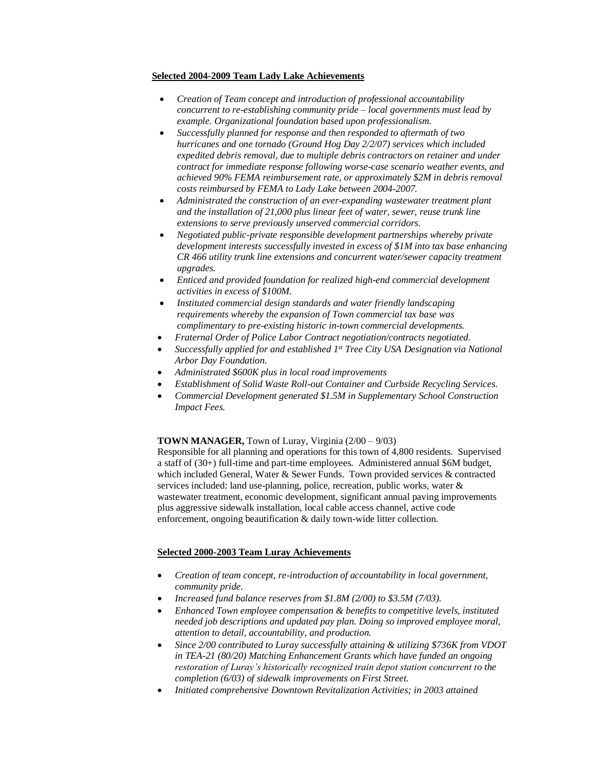#### **Selected 2004-2009 Team Lady Lake Achievements**

- *Creation of Team concept and introduction of professional accountability concurrent to re-establishing community pride – local governments must lead by example. Organizational foundation based upon professionalism.*
- *Successfully planned for response and then responded to aftermath of two hurricanes and one tornado (Ground Hog Day 2/2/07) services which included expedited debris removal, due to multiple debris contractors on retainer and under contract for immediate response following worse-case scenario weather events, and achieved 90% FEMA reimbursement rate, or approximately \$2M in debris removal costs reimbursed by FEMA to Lady Lake between 2004-2007.*
- *Administrated the construction of an ever-expanding wastewater treatment plant and the installation of 21,000 plus linear feet of water, sewer, reuse trunk line extensions to serve previously unserved commercial corridors.*
- *Negotiated public-private responsible development partnerships whereby private development interests successfully invested in excess of \$1M into tax base enhancing CR 466 utility trunk line extensions and concurrent water/sewer capacity treatment upgrades.*
- *Enticed and provided foundation for realized high-end commercial development activities in excess of \$100M.*
- *Instituted commercial design standards and water friendly landscaping requirements whereby the expansion of Town commercial tax base was complimentary to pre-existing historic in-town commercial developments.*
- *Fraternal Order of Police Labor Contract negotiation/contracts negotiated.*
- Successfully applied for and established 1<sup>st</sup> Tree City USA Designation via National *Arbor Day Foundation.*
- *Administrated \$600K plus in local road improvements*
- *Establishment of Solid Waste Roll-out Container and Curbside Recycling Services.*
- *Commercial Development generated \$1.5M in Supplementary School Construction Impact Fees.*

# **TOWN MANAGER,** Town of Luray, Virginia (2/00 – 9/03)

Responsible for all planning and operations for this town of 4,800 residents. Supervised a staff of (30+) full-time and part-time employees. Administered annual \$6M budget, which included General, Water & Sewer Funds. Town provided services & contracted services included: land use-planning, police, recreation, public works, water & wastewater treatment, economic development, significant annual paving improvements plus aggressive sidewalk installation, local cable access channel, active code enforcement, ongoing beautification & daily town-wide litter collection.

#### **Selected 2000-2003 Team Luray Achievements**

- *Creation of team concept, re-introduction of accountability in local government, community pride.*
- *Increased fund balance reserves from \$1.8M (2/00) to \$3.5M (7/03).*
- *Enhanced Town employee compensation & benefits to competitive levels, instituted needed job descriptions and updated pay plan. Doing so improved employee moral, attention to detail, accountability, and production.*
- *Since 2/00 contributed to Luray successfully attaining & utilizing \$736K from VDOT in TEA-21 (80/20) Matching Enhancement Grants which have funded an ongoing restoration of Luray's historically recognized train depot station concurrent to the completion (6/03) of sidewalk improvements on First Street.*
- *Initiated comprehensive Downtown Revitalization Activities; in 2003 attained*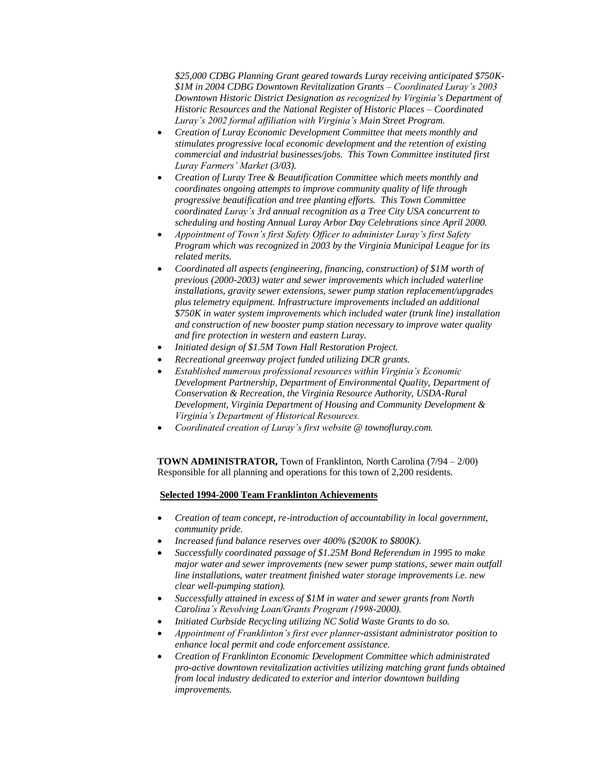*\$25,000 CDBG Planning Grant geared towards Luray receiving anticipated \$750K- \$1M in 2004 CDBG Downtown Revitalization Grants – Coordinated Luray's 2003 Downtown Historic District Designation as recognized by Virginia's Department of Historic Resources and the National Register of Historic Places – Coordinated Luray's 2002 formal affiliation with Virginia's Main Street Program.*

- *Creation of Luray Economic Development Committee that meets monthly and stimulates progressive local economic development and the retention of existing commercial and industrial businesses/jobs. This Town Committee instituted first Luray Farmers' Market (3/03).*
- *Creation of Luray Tree & Beautification Committee which meets monthly and coordinates ongoing attempts to improve community quality of life through progressive beautification and tree planting efforts. This Town Committee coordinated Luray's 3rd annual recognition as a Tree City USA concurrent to scheduling and hosting Annual Luray Arbor Day Celebrations since April 2000.*
- *Appointment of Town's first Safety Officer to administer Luray's first Safety Program which was recognized in 2003 by the Virginia Municipal League for its related merits.*
- *Coordinated all aspects (engineering, financing, construction) of \$1M worth of previous (2000-2003) water and sewer improvements which included waterline installations, gravity sewer extensions, sewer pump station replacement/upgrades plus telemetry equipment. Infrastructure improvements included an additional \$750K in water system improvements which included water (trunk line) installation and construction of new booster pump station necessary to improve water quality and fire protection in western and eastern Luray.*
- *Initiated design of \$1.5M Town Hall Restoration Project.*
- *Recreational greenway project funded utilizing DCR grants.*
- *Established numerous professional resources within Virginia's Economic Development Partnership, Department of Environmental Quality, Department of Conservation & Recreation, the Virginia Resource Authority, USDA-Rural Development, Virginia Department of Housing and Community Development & Virginia's Department of Historical Resources.*
- *Coordinated creation of Luray's first website @ townofluray.com.*

 **TOWN ADMINISTRATOR,** Town of Franklinton, North Carolina (7/94 – 2/00) Responsible for all planning and operations for this town of 2,200 residents.

#### **Selected 1994-2000 Team Franklinton Achievements**

- *Creation of team concept, re-introduction of accountability in local government, community pride.*
- *Increased fund balance reserves over 400% (\$200K to \$800K).*
- *Successfully coordinated passage of \$1.25M Bond Referendum in 1995 to make major water and sewer improvements (new sewer pump stations, sewer main outfall line installations, water treatment finished water storage improvements i.e. new clear well-pumping station).*
- *Successfully attained in excess of \$1M in water and sewer grants from North Carolina's Revolving Loan/Grants Program (1998-2000).*
- *Initiated Curbside Recycling utilizing NC Solid Waste Grants to do so.*
- *Appointment of Franklinton's first ever planner-assistant administrator position to enhance local permit and code enforcement assistance.*
- *Creation of Franklinton Economic Development Committee which administrated pro-active downtown revitalization activities utilizing matching grant funds obtained from local industry dedicated to exterior and interior downtown building improvements.*